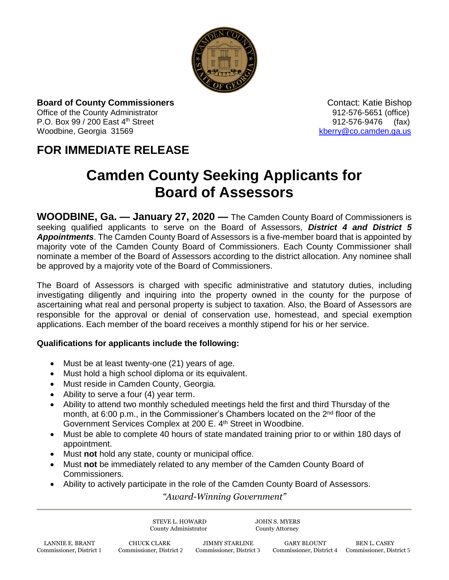

**Board of County Commissioners Contact: Katie Bishop** Contact: Katie Bishop Office of the County Administrator **Department County Administrator 912-576-5651** (office) P.O. Box 99 / 200 East 4<sup>th</sup> Street 912-576-9476 (fax)

Woodbine, Georgia 31569 [kberry@co.camden.ga.us](mailto:kberry@co.camden.ga.us)

## **FOR IMMEDIATE RELEASE**

## **Camden County Seeking Applicants for Board of Assessors**

**WOODBINE, Ga. — January 27, 2020 —** The Camden County Board of Commissioners is seeking qualified applicants to serve on the Board of Assessors, *District 4 and District 5 Appointments*. The Camden County Board of Assessors is a five-member board that is appointed by majority vote of the Camden County Board of Commissioners. Each County Commissioner shall nominate a member of the Board of Assessors according to the district allocation. Any nominee shall be approved by a majority vote of the Board of Commissioners.

The Board of Assessors is charged with specific administrative and statutory duties, including investigating diligently and inquiring into the property owned in the county for the purpose of ascertaining what real and personal property is subject to taxation. Also, the Board of Assessors are responsible for the approval or denial of conservation use, homestead, and special exemption applications. Each member of the board receives a monthly stipend for his or her service.

## **Qualifications for applicants include the following:**

- Must be at least twenty-one (21) years of age.
- Must hold a high school diploma or its equivalent.
- Must reside in Camden County, Georgia.
- Ability to serve a four (4) year term.
- Ability to attend two monthly scheduled meetings held the first and third Thursday of the month, at 6:00 p.m., in the Commissioner's Chambers located on the  $2<sup>nd</sup>$  floor of the Government Services Complex at 200 E. 4<sup>th</sup> Street in Woodbine.
- Must be able to complete 40 hours of state mandated training prior to or within 180 days of appointment.
- Must **not** hold any state, county or municipal office.
- Must **not** be immediately related to any member of the Camden County Board of Commissioners.
- Ability to actively participate in the role of the Camden County Board of Assessors.

*"Award-Winning Government"*